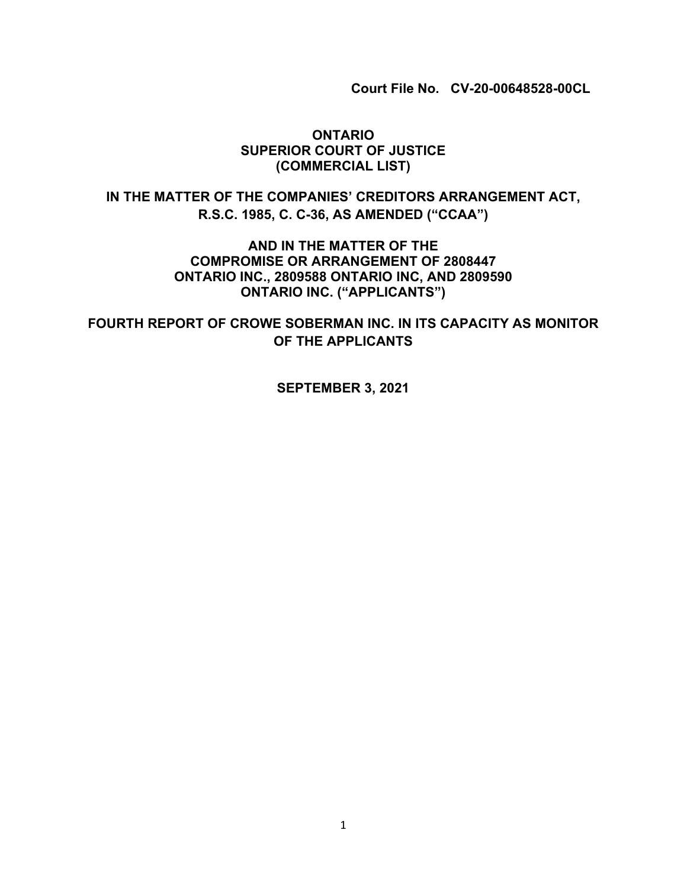**Court File No. CV-20-00648528-00CL**

#### **ONTARIO SUPERIOR COURT OF JUSTICE (COMMERCIAL LIST)**

## **IN THE MATTER OF THE COMPANIES' CREDITORS ARRANGEMENT ACT, R.S.C. 1985, C. C-36, AS AMENDED ("CCAA")**

**AND IN THE MATTER OF THE COMPROMISE OR ARRANGEMENT OF 2808447 ONTARIO INC., 2809588 ONTARIO INC, AND 2809590 ONTARIO INC. ("APPLICANTS")**

**FOURTH REPORT OF CROWE SOBERMAN INC. IN ITS CAPACITY AS MONITOR OF THE APPLICANTS**

**SEPTEMBER 3, 2021**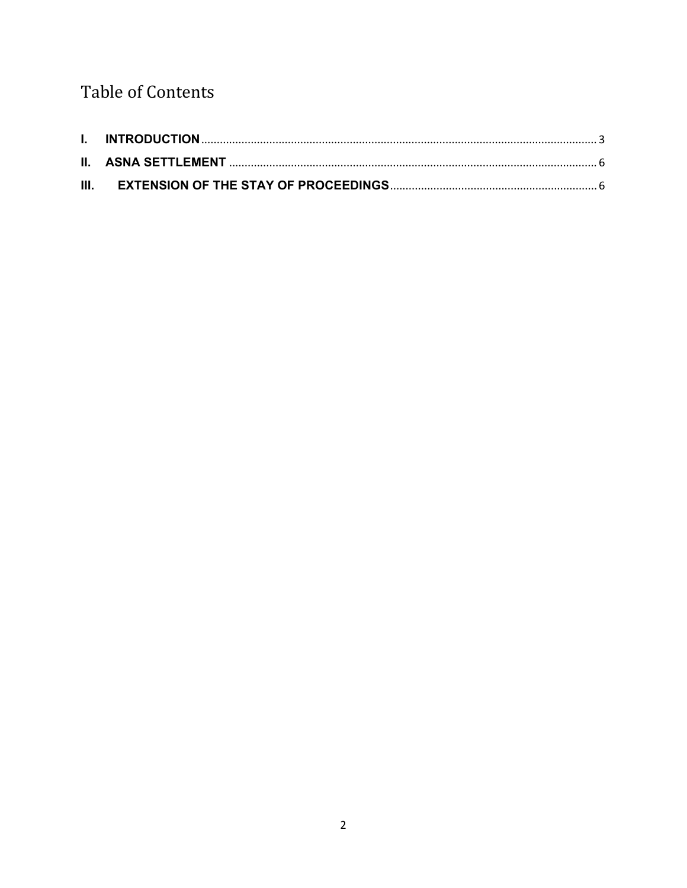# **Table of Contents**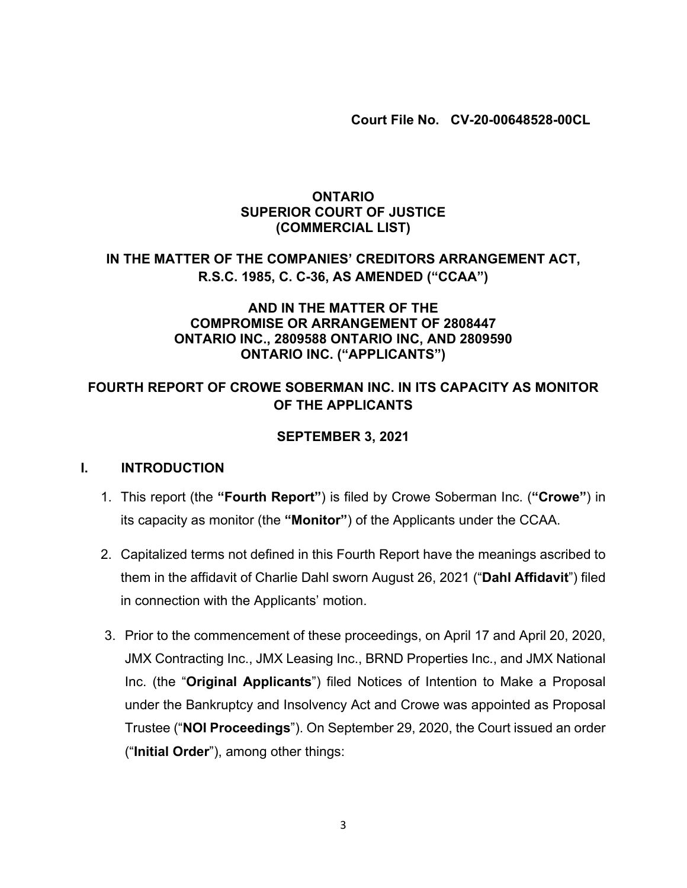**Court File No. CV-20-00648528-00CL**

### **ONTARIO SUPERIOR COURT OF JUSTICE (COMMERCIAL LIST)**

## **IN THE MATTER OF THE COMPANIES' CREDITORS ARRANGEMENT ACT, R.S.C. 1985, C. C-36, AS AMENDED ("CCAA")**

### **AND IN THE MATTER OF THE COMPROMISE OR ARRANGEMENT OF 2808447 ONTARIO INC., 2809588 ONTARIO INC, AND 2809590 ONTARIO INC. ("APPLICANTS")**

## **FOURTH REPORT OF CROWE SOBERMAN INC. IN ITS CAPACITY AS MONITOR OF THE APPLICANTS**

## **SEPTEMBER 3, 2021**

#### <span id="page-2-0"></span>**I. INTRODUCTION**

- 1. This report (the **"Fourth Report"**) is filed by Crowe Soberman Inc. (**"Crowe"**) in its capacity as monitor (the **"Monitor"**) of the Applicants under the CCAA.
- 2. Capitalized terms not defined in this Fourth Report have the meanings ascribed to them in the affidavit of Charlie Dahl sworn August 26, 2021 ("**Dahl Affidavit**") filed in connection with the Applicants' motion.
- 3. Prior to the commencement of these proceedings, on April 17 and April 20, 2020, JMX Contracting Inc., JMX Leasing Inc., BRND Properties Inc., and JMX National Inc. (the "**Original Applicants**") filed Notices of Intention to Make a Proposal under the Bankruptcy and Insolvency Act and Crowe was appointed as Proposal Trustee ("**NOI Proceedings**"). On September 29, 2020, the Court issued an order ("**Initial Order**"), among other things: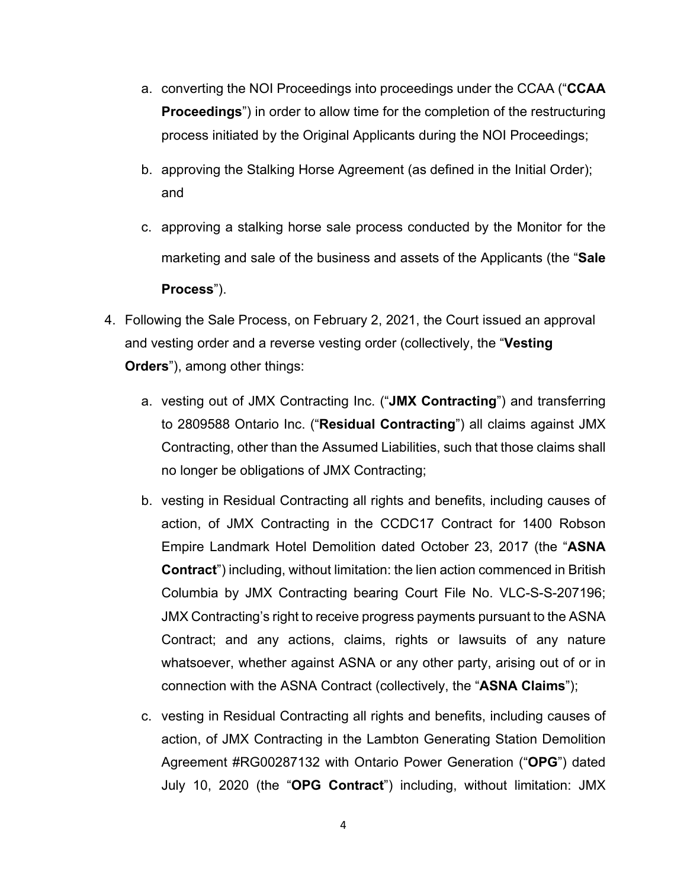- a. converting the NOI Proceedings into proceedings under the CCAA ("**CCAA Proceedings**") in order to allow time for the completion of the restructuring process initiated by the Original Applicants during the NOI Proceedings;
- b. approving the Stalking Horse Agreement (as defined in the Initial Order); and
- c. approving a stalking horse sale process conducted by the Monitor for the marketing and sale of the business and assets of the Applicants (the "**Sale Process**").
- 4. Following the Sale Process, on February 2, 2021, the Court issued an approval and vesting order and a reverse vesting order (collectively, the "**Vesting Orders**"), among other things:
	- a. vesting out of JMX Contracting Inc. ("**JMX Contracting**") and transferring to 2809588 Ontario Inc. ("**Residual Contracting**") all claims against JMX Contracting, other than the Assumed Liabilities, such that those claims shall no longer be obligations of JMX Contracting;
	- b. vesting in Residual Contracting all rights and benefits, including causes of action, of JMX Contracting in the CCDC17 Contract for 1400 Robson Empire Landmark Hotel Demolition dated October 23, 2017 (the "**ASNA Contract**") including, without limitation: the lien action commenced in British Columbia by JMX Contracting bearing Court File No. VLC-S-S-207196; JMX Contracting's right to receive progress payments pursuant to the ASNA Contract; and any actions, claims, rights or lawsuits of any nature whatsoever, whether against ASNA or any other party, arising out of or in connection with the ASNA Contract (collectively, the "**ASNA Claims**");
	- c. vesting in Residual Contracting all rights and benefits, including causes of action, of JMX Contracting in the Lambton Generating Station Demolition Agreement #RG00287132 with Ontario Power Generation ("**OPG**") dated July 10, 2020 (the "**OPG Contract**") including, without limitation: JMX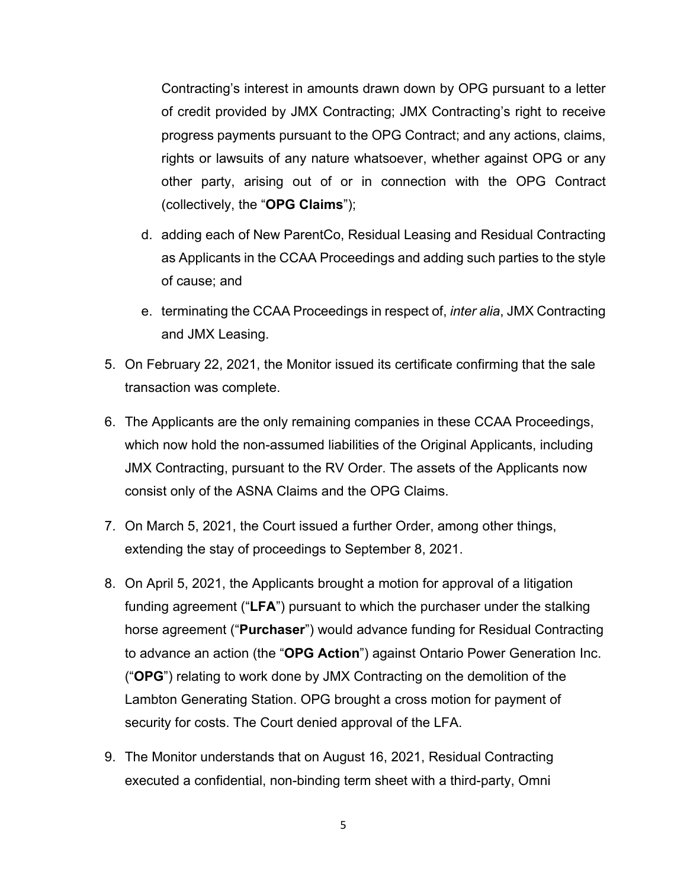Contracting's interest in amounts drawn down by OPG pursuant to a letter of credit provided by JMX Contracting; JMX Contracting's right to receive progress payments pursuant to the OPG Contract; and any actions, claims, rights or lawsuits of any nature whatsoever, whether against OPG or any other party, arising out of or in connection with the OPG Contract (collectively, the "**OPG Claims**");

- d. adding each of New ParentCo, Residual Leasing and Residual Contracting as Applicants in the CCAA Proceedings and adding such parties to the style of cause; and
- e. terminating the CCAA Proceedings in respect of, *inter alia*, JMX Contracting and JMX Leasing.
- 5. On February 22, 2021, the Monitor issued its certificate confirming that the sale transaction was complete.
- 6. The Applicants are the only remaining companies in these CCAA Proceedings, which now hold the non-assumed liabilities of the Original Applicants, including JMX Contracting, pursuant to the RV Order. The assets of the Applicants now consist only of the ASNA Claims and the OPG Claims.
- 7. On March 5, 2021, the Court issued a further Order, among other things, extending the stay of proceedings to September 8, 2021.
- 8. On April 5, 2021, the Applicants brought a motion for approval of a litigation funding agreement ("**LFA**") pursuant to which the purchaser under the stalking horse agreement ("**Purchaser**") would advance funding for Residual Contracting to advance an action (the "**OPG Action**") against Ontario Power Generation Inc. ("**OPG**") relating to work done by JMX Contracting on the demolition of the Lambton Generating Station. OPG brought a cross motion for payment of security for costs. The Court denied approval of the LFA.
- 9. The Monitor understands that on August 16, 2021, Residual Contracting executed a confidential, non-binding term sheet with a third-party, Omni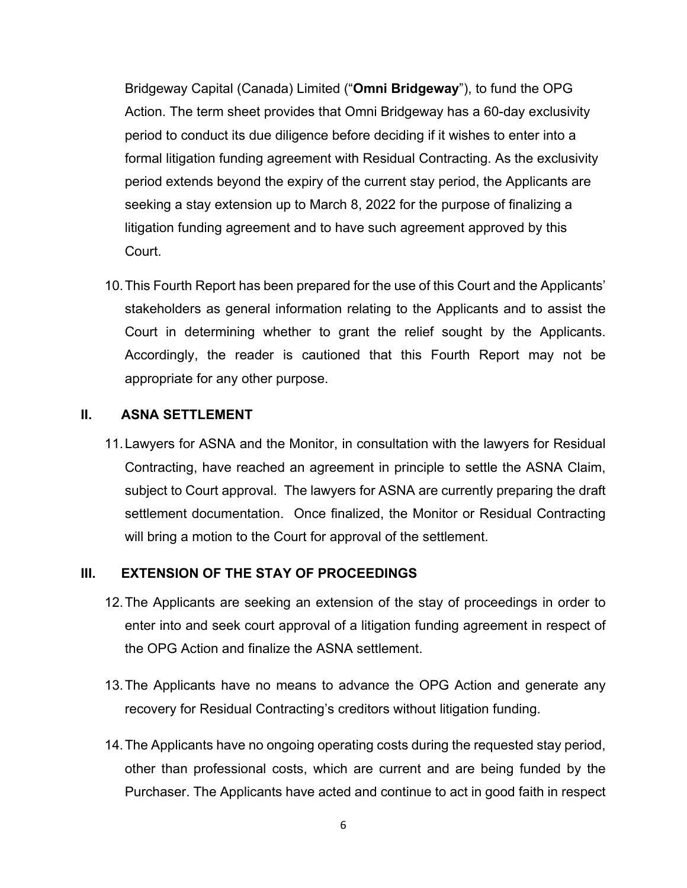Bridgeway Capital (Canada) Limited ("**Omni Bridgeway**"), to fund the OPG Action. The term sheet provides that Omni Bridgeway has a 60-day exclusivity period to conduct its due diligence before deciding if it wishes to enter into a formal litigation funding agreement with Residual Contracting. As the exclusivity period extends beyond the expiry of the current stay period, the Applicants are seeking a stay extension up to March 8, 2022 for the purpose of finalizing a litigation funding agreement and to have such agreement approved by this Court.

10.This Fourth Report has been prepared for the use of this Court and the Applicants' stakeholders as general information relating to the Applicants and to assist the Court in determining whether to grant the relief sought by the Applicants. Accordingly, the reader is cautioned that this Fourth Report may not be appropriate for any other purpose.

#### <span id="page-5-0"></span>**II. ASNA SETTLEMENT**

11.Lawyers for ASNA and the Monitor, in consultation with the lawyers for Residual Contracting, have reached an agreement in principle to settle the ASNA Claim, subject to Court approval. The lawyers for ASNA are currently preparing the draft settlement documentation. Once finalized, the Monitor or Residual Contracting will bring a motion to the Court for approval of the settlement.

#### <span id="page-5-1"></span>**III. EXTENSION OF THE STAY OF PROCEEDINGS**

- 12.The Applicants are seeking an extension of the stay of proceedings in order to enter into and seek court approval of a litigation funding agreement in respect of the OPG Action and finalize the ASNA settlement.
- 13.The Applicants have no means to advance the OPG Action and generate any recovery for Residual Contracting's creditors without litigation funding.
- 14.The Applicants have no ongoing operating costs during the requested stay period, other than professional costs, which are current and are being funded by the Purchaser. The Applicants have acted and continue to act in good faith in respect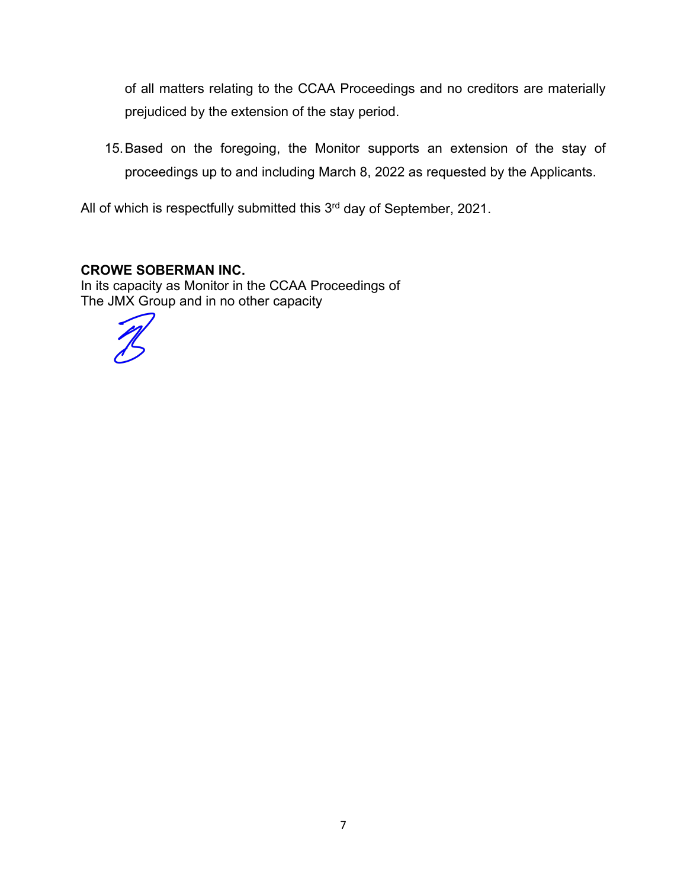of all matters relating to the CCAA Proceedings and no creditors are materially prejudiced by the extension of the stay period.

15.Based on the foregoing, the Monitor supports an extension of the stay of proceedings up to and including March 8, 2022 as requested by the Applicants.

All of which is respectfully submitted this 3<sup>rd</sup> day of September, 2021.

## **CROWE SOBERMAN INC.**

In its capacity as Monitor in the CCAA Proceedings of The JMX Group and in no other capacity